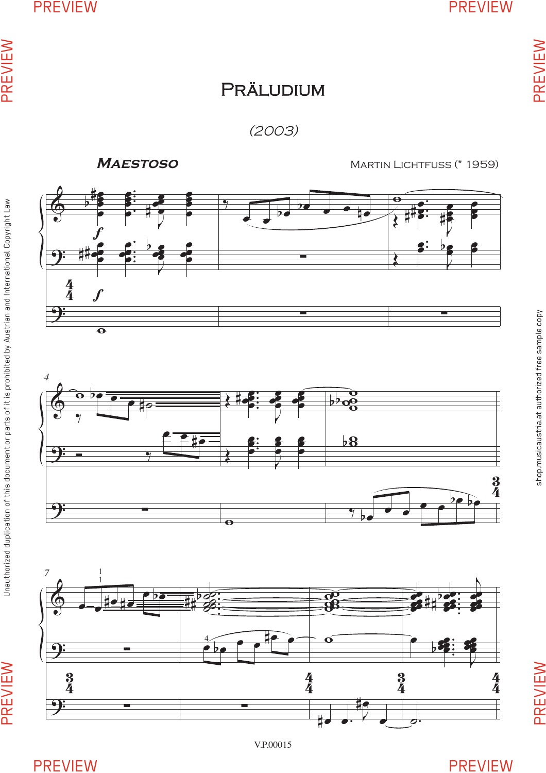PREVIEW

PREVIEW

shop.musicaustria.at authorized free sample copy

shop.musicaustria.at authorized free sample copy

## **PRÄLUDIUM**

(2003)

**Maestoso**

Martin Lichtfuss (\* 1959)







PREVIEW

PREVIEW

PREVIEW PREVIEW